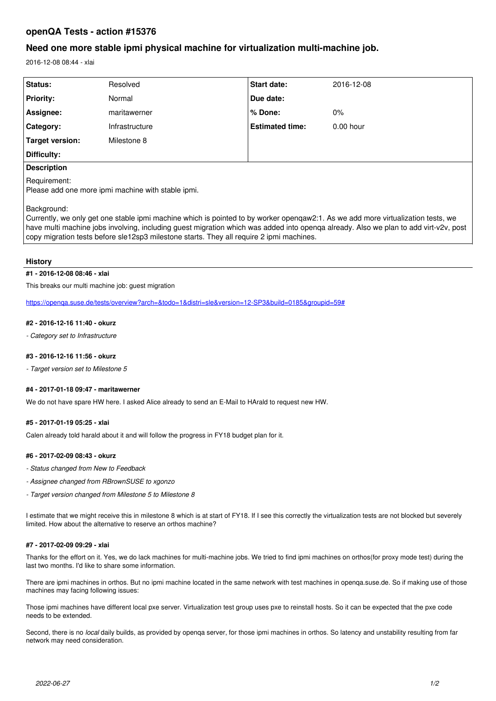# **openQA Tests - action #15376**

# **Need one more stable ipmi physical machine for virtualization multi-machine job.**

2016-12-08 08:44 - xlai

| Status:                                                                                                                                                                                                                                                                                                                                                                             | Resolved       | <b>Start date:</b>     | 2016-12-08  |
|-------------------------------------------------------------------------------------------------------------------------------------------------------------------------------------------------------------------------------------------------------------------------------------------------------------------------------------------------------------------------------------|----------------|------------------------|-------------|
| <b>Priority:</b>                                                                                                                                                                                                                                                                                                                                                                    | Normal         | Due date:              |             |
| Assignee:                                                                                                                                                                                                                                                                                                                                                                           | maritawerner   | % Done:                | $0\%$       |
| Category:                                                                                                                                                                                                                                                                                                                                                                           | Infrastructure | <b>Estimated time:</b> | $0.00$ hour |
| Target version:                                                                                                                                                                                                                                                                                                                                                                     | Milestone 8    |                        |             |
| Difficulty:                                                                                                                                                                                                                                                                                                                                                                         |                |                        |             |
| <b>Description</b>                                                                                                                                                                                                                                                                                                                                                                  |                |                        |             |
| Requirement:<br>Please add one more ipmi machine with stable ipmi.                                                                                                                                                                                                                                                                                                                  |                |                        |             |
| Background:<br>Currently, we only get one stable ipmi machine which is pointed to by worker opengaw2:1. As we add more virtualization tests, we<br>have multi machine jobs involving, including guest migration which was added into openga already. Also we plan to add virt-v2v, post<br>copy migration tests before sle12sp3 milestone starts. They all require 2 ipmi machines. |                |                        |             |
|                                                                                                                                                                                                                                                                                                                                                                                     |                |                        |             |

### **History**

### **#1 - 2016-12-08 08:46 - xlai**

This breaks our multi machine job: guest migration

<https://openqa.suse.de/tests/overview?arch=&todo=1&distri=sle&version=12-SP3&build=0185&groupid=59#>

#### **#2 - 2016-12-16 11:40 - okurz**

*- Category set to Infrastructure*

#### **#3 - 2016-12-16 11:56 - okurz**

*- Target version set to Milestone 5*

#### **#4 - 2017-01-18 09:47 - maritawerner**

We do not have spare HW here. I asked Alice already to send an E-Mail to HArald to request new HW.

## **#5 - 2017-01-19 05:25 - xlai**

Calen already told harald about it and will follow the progress in FY18 budget plan for it.

#### **#6 - 2017-02-09 08:43 - okurz**

- *Status changed from New to Feedback*
- *Assignee changed from RBrownSUSE to xgonzo*
- *Target version changed from Milestone 5 to Milestone 8*

I estimate that we might receive this in milestone 8 which is at start of FY18. If I see this correctly the virtualization tests are not blocked but severely limited. How about the alternative to reserve an orthos machine?

#### **#7 - 2017-02-09 09:29 - xlai**

Thanks for the effort on it. Yes, we do lack machines for multi-machine jobs. We tried to find ipmi machines on orthos(for proxy mode test) during the last two months. I'd like to share some information.

There are ipmi machines in orthos. But no ipmi machine located in the same network with test machines in openqa.suse.de. So if making use of those machines may facing following issues:

Those ipmi machines have different local pxe server. Virtualization test group uses pxe to reinstall hosts. So it can be expected that the pxe code needs to be extended.

Second, there is no *local* daily builds, as provided by openqa server, for those ipmi machines in orthos. So latency and unstability resulting from far network may need consideration.